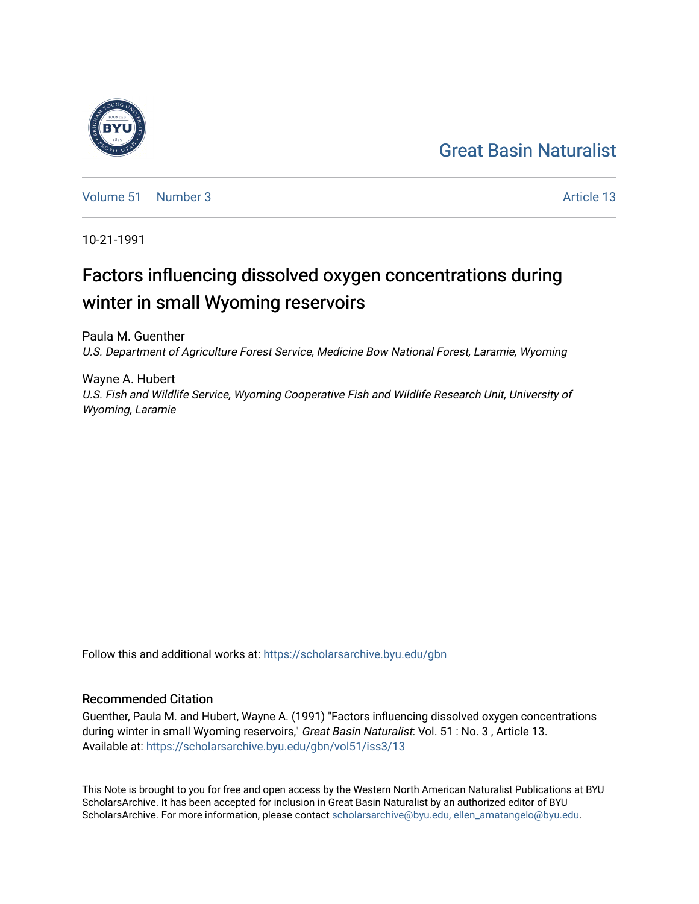## [Great Basin Naturalist](https://scholarsarchive.byu.edu/gbn)



[Volume 51](https://scholarsarchive.byu.edu/gbn/vol51) [Number 3](https://scholarsarchive.byu.edu/gbn/vol51/iss3) Article 13

10-21-1991

# Factors influencing dissolved oxygen concentrations during winter in small Wyoming reservoirs

Paula M. Guenther U.S. Department of Agriculture Forest Service, Medicine Bow National Forest, Laramie, Wyoming

Wayne A. Hubert U.S. Fish and Wildlife Service, Wyoming Cooperative Fish and Wildlife Research Unit, University of Wyoming, Laramie

Follow this and additional works at: [https://scholarsarchive.byu.edu/gbn](https://scholarsarchive.byu.edu/gbn?utm_source=scholarsarchive.byu.edu%2Fgbn%2Fvol51%2Fiss3%2F13&utm_medium=PDF&utm_campaign=PDFCoverPages) 

## Recommended Citation

Guenther, Paula M. and Hubert, Wayne A. (1991) "Factors influencing dissolved oxygen concentrations during winter in small Wyoming reservoirs," Great Basin Naturalist: Vol. 51 : No. 3, Article 13. Available at: [https://scholarsarchive.byu.edu/gbn/vol51/iss3/13](https://scholarsarchive.byu.edu/gbn/vol51/iss3/13?utm_source=scholarsarchive.byu.edu%2Fgbn%2Fvol51%2Fiss3%2F13&utm_medium=PDF&utm_campaign=PDFCoverPages) 

This Note is brought to you for free and open access by the Western North American Naturalist Publications at BYU ScholarsArchive. It has been accepted for inclusion in Great Basin Naturalist by an authorized editor of BYU ScholarsArchive. For more information, please contact [scholarsarchive@byu.edu, ellen\\_amatangelo@byu.edu.](mailto:scholarsarchive@byu.edu,%20ellen_amatangelo@byu.edu)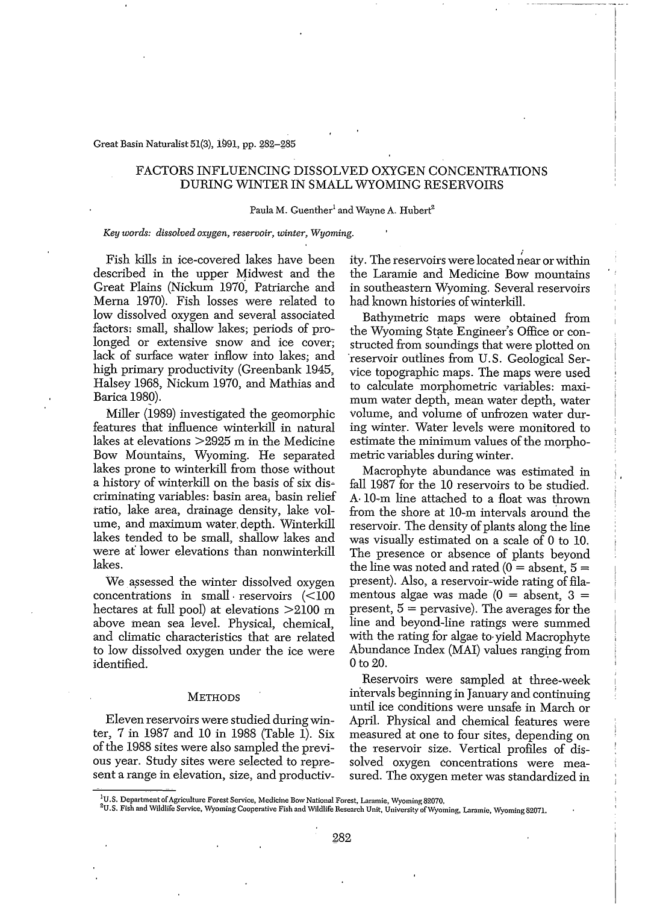#### Great Basin Naturalist 51(3), 1991, pp. g8g-g85

### FACTORS INFLUENCING DISSOLVED OXYGEN CONCENTRATIONS DURING WINTER IN SMALL WYOMING RESERVOIRS

#### Paula M. Guenther<sup>1</sup> and Wayne A. Hubert<sup>2</sup>

#### *Key words: dissolved oxygen, reservoir, winter, Wyoming.*

Fish kills in ice-covered lakes have been described in the upper Midwest and the Great Plains (Nickum 1970, Patriarche and Merna 1970). Fish losses were related to low dissolved oxygen and several associated factors, small, shallow lakes; periods of prolonged or extensive snow and ice cover; lack of surface water inflow into lakes; and high primary productivity (Greenbank 1945, Halsey 1968, Nickum 1970, and Mathias and Barica 1989).

Miller (1989) investigated the geomorphic features that influence winterkill in natural lakes at elevations >2925 m in the Medicine Bow Mountains, Wyoming. He separated lakes prone to winterkill from those without a history of winterkill on the basis of six discriminating variables: basin area; basin relief ratio, lake area, drainage density, lake volume, and maximum water. depth. Winterkill lakes tended to be small, shallow lakes and were at' lower elevations than nonwinterkill lakes.

We assessed the winter dissolved oxygen concentrations in small reservoirs  $\leq 100$ hectares at full pool) at elevations >2100 m above mean sea level. Physical, chemical, and climatic characteristics that are related to low dissolved oxygen under the ice were identified.

#### **METHODS**

Eleven reservoirs were studied during winter, 7 in 1987 and 10 in 1988 (Table 1). Six of the 1988 sites were also sampled the previous year. Study sites were selected to represent a range in elevation, size, and productivity. The reservoirs were located near or within the Laramie and Medicine Bow mountains in southeastern Wyoming. Several reservoirs had known histories of winterkill.

Bathymetric maps were obtained from the Wyoming State Engineer's Office or constructed from soundings that were plotted on 'reservoir outlines from U. S. Geological Service topographic maps. The maps were used to calculate morphometric variables: maximum water depth, mean water depth, water volume, and volume of unfrozen water during winter. Water levels were monitored to estimate the minimum values of the morphometric variables during winter.

Macrophyte abundance was estimated in fall 1987 for the 10 reservoirs to be studied. A 10-m line attached to a float was thrown from the shore at 10-m intervals around the reservoir. The density of plants along the line was visually estimated on a scale of 0 to 10. The presence or absence of plants beyond the line was noted and rated  $(0 =$  absent,  $5 =$ present). Also, a reservoir-wide rating of filamentous algae was made  $(0 = \text{absent}, 3 =$ present,  $5 =$  pervasive). The averages for the line and beyond-line ratings were summed with the rating for algae to· yield Macrophyte Abundance Index (MAI) values ranging from Oto 20.

Reservoirs were sampled at three-week intervals beginning in January and continuing until ice conditions were unsafe in March or April. Physical and chemical features were measured at one to four sites, depending on the reservoir size. Vertical profiles of dissolved oxygen concentrations were measured. The oxygen meter was standardized in

**lU.S. Department ofAgriculture Forest Service, Medicine Bow National Forest, Laramie, Wyoming: 82070.**

<sup>&</sup>lt;sup>2</sup>U.S. Fish and Wildlife Service, Wyoming Cooperative Fish and Wildlife Research Unit, University of Wyoming, Laramie, Wyoming 82071.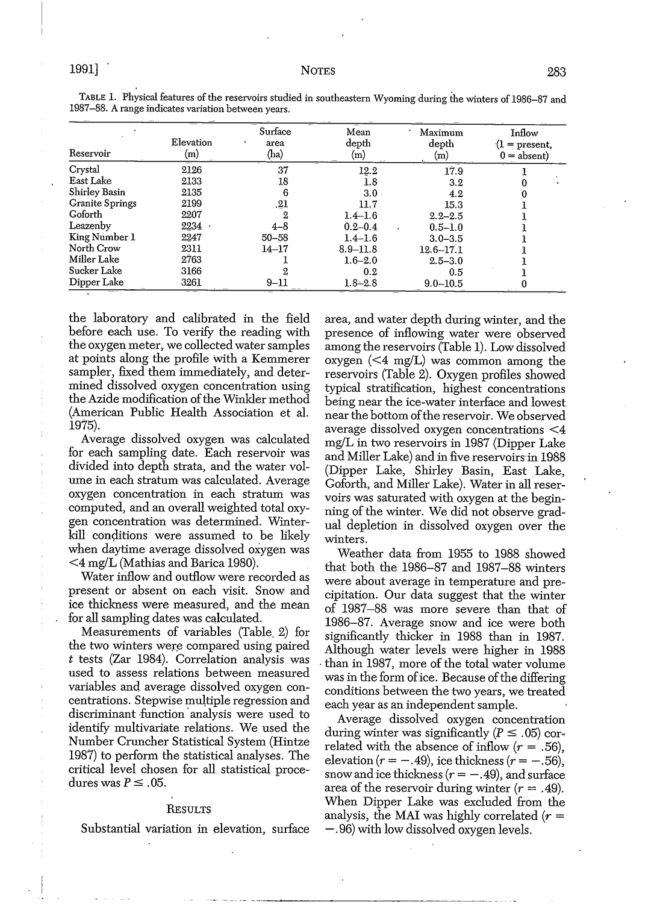| Reservoir              | Elevation<br>(m) | Surface<br>area<br>(ha) | Mean<br>depth<br>(m) | Maximum<br>depth<br>(m) | Inflow<br>01<br>$=$ present,<br>$0 =$ absent) |
|------------------------|------------------|-------------------------|----------------------|-------------------------|-----------------------------------------------|
| Crystal                | 2126             | 37                      | 12.2                 | 17.9                    |                                               |
| East Lake              | 2133             | 18                      | $1.8\phantom{0}$     | 3.2                     |                                               |
| Shirley Basin          | 2135             | 6                       | 3.0                  | 4.2                     |                                               |
| <b>Granite Springs</b> | 2199             | 21                      | 11.7                 | 15.3                    |                                               |
| Goforth                | 2207             | 2                       | $1.4 - 1.6$          | $2.2 - 2.5$             |                                               |
| Leazenby               | 2234             | $4 - 8$                 | $0.2 - 0.4$          | $0.5 - 1.0$             |                                               |
| King Number 1          | 2247             | $50 - 58$               | $1.4 - 1.6$          | $3.0 - 3.5$             |                                               |
| North Crow             | 2311             | $14 - 17$               | $8.9 - 11.8$         | $12.6 - 17.1$           |                                               |
| Miller Lake            | 2763             |                         | $1.6 - 2.0$          | $2.5 - 3.0$             |                                               |
| Sucker Lake            | 3166             |                         | 0.2                  | 0.5                     |                                               |
| Dipper Lake            | 3261             | $9 - 11$                | $1.8 - 2.8$          | $9.0 - 10.5$            |                                               |

TABLE 1. Physical features of the reservoirs studied in southeastern Wyoming during the winters of 1986-87 and 1987~88. A range indicates variation between years.

the laboratory and calibrated in the field before each use. To verify the reading with the oxygen meter, we collected water samples at points along the profile with a Kemmerer sampler, fixed them immediately, and determined dissolved oxygen concentration using the Azide modification of the Winkler method (American Public Health Association et al. 1975).

Average dissolved oxygen was calculated for each sampling date. Each reservoir was divided into depth strata, and the water volume in each stratum was calculated. Average oxygen concentration in each stratum was computed, and an overall weighted total oxygen concentration was determined. Winterkill conditions were assumed to be likely when daytime average dissolved oxygen was <4 mg/L (Mathias and Barica 1980).

Water inflow and outflow were recorded as present or absent on each visit. Snow and ice thickness were measured, and the mean for all sampling dates was cqIculated.

Measurements of variables (Table. 2) for the two winters were compared using paired *t* tests (Zar 1984). Correlation analysis was used to assess relations between measured variables and average dissolved oxygen concentrations. Stepwise multiple regression and discriminant function analysis were used to identify multivariate relations. We used the Number Cruncher Statistical System (Hintze 1987) to perform the statistical analyses. The critical level chosen for all statistical procedures was  $P \leq .05$ .

#### RESULTS

Substantial variation in elevation, surface

area, and water depth during winter, and the presence of inflowing water were observed among the reservoirs (Table 1). Low dissolved oxygen  $\leq 4$  mg/L) was common among the reservoirs (Table 2). Oxygen profiles showed typical stratification, highest concentrations being near the ice-water interface and lowest near the bottom of the reservoir. We observed average dissolved oxygen concentrations <4 mg/L in two reservoirs in 1987 (Dipper Lake and Miller Lake) and in five reservoirs in 1988 (Dipper Lake, Shirley Basin, East.Lake, Goforth, and Miller Lake). Water in all reservoirs was saturated with oxygen at the beginning of the winter. We did not observe gradual depletion in dissolved oxygen over the winters.

Weather data from 1955 to 1988 showed that both the 1986-87 and 1987-88 winters were about average in temperature and precipitation. Our data suggest that the winter of 1981~88 was more severe than that of 1986-87. Average snow and ice were both significantly thicker in 1988 than in 1987. Although water levels were higher in 1988 . than in 1987, more of the total water volume was in the form of ice. Because of the differing conditions between the two years, we treated each year as an independent sample.

Average dissolved oxygen concentration during winter was significantly ( $P \le .05$ ) correlated with the absence of inflow  $(r=.56)$ , elevation  $(r = -.49)$ , ice thickness  $(r = -.56)$ , snow and ice thickness  $(r = -.49)$ , and surface area of the reservoir during winter  $(r=.49)$ . When Dipper Lake was excluded from the analysis, the MAI was highly correlated  $(r =$ -.96) with low dissolved oxygen levels.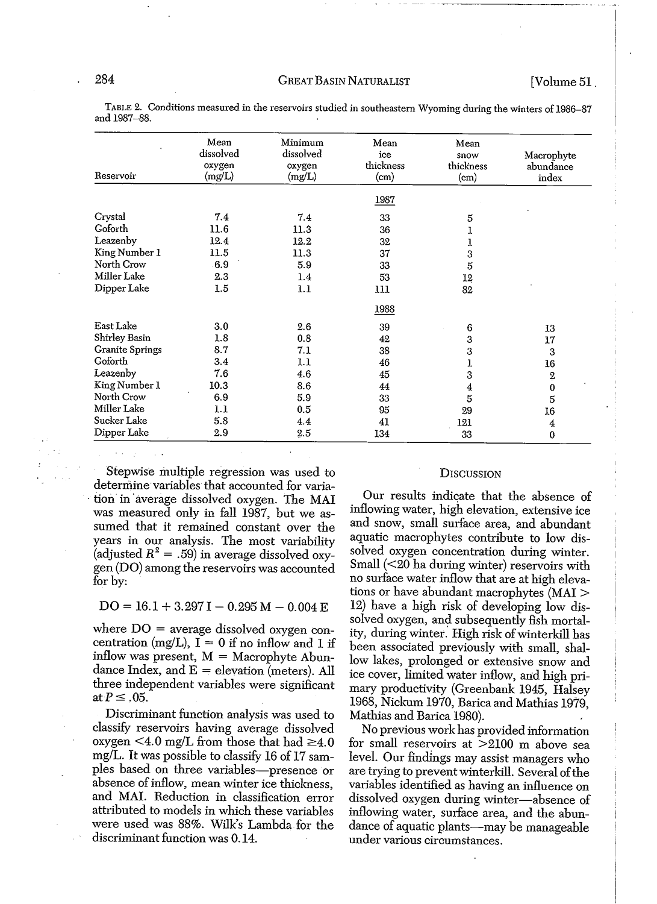| Reservoir              | Mean<br>dissolved<br>oxygen<br>(mg/L) | Minimum<br>dissolved<br>oxygen<br>(mg/L) | Mean<br>ice<br>thickness<br>(c <sub>m</sub> ) | Mean<br>snow<br>thickness<br>(c <sub>m</sub> ) | Macrophyte<br>abundance<br>index |  |  |  |
|------------------------|---------------------------------------|------------------------------------------|-----------------------------------------------|------------------------------------------------|----------------------------------|--|--|--|
|                        |                                       |                                          | 1987                                          |                                                |                                  |  |  |  |
| Crystal                | 7.4                                   | 7.4                                      | 33                                            | 5                                              |                                  |  |  |  |
| Goforth                | 11.6                                  | 11.3                                     | 36                                            | ı                                              |                                  |  |  |  |
| Leazenby               | 12.4                                  | 12.2                                     | 32                                            | l                                              |                                  |  |  |  |
| King Number 1          | 11.5                                  | 11.3                                     | 37                                            | 3                                              |                                  |  |  |  |
| North Crow             | 6.9                                   | 5.9                                      | 33                                            | 5                                              |                                  |  |  |  |
| Miller Lake            | 2.3                                   | 1.4                                      | 53                                            | 12                                             |                                  |  |  |  |
| Dipper Lake            | 1.5                                   | 1.1                                      | 111                                           | 82                                             |                                  |  |  |  |
|                        |                                       |                                          | 1988                                          |                                                |                                  |  |  |  |
| East Lake              | 3.0                                   | 2.6                                      | 39                                            | 6                                              | 13                               |  |  |  |
| Shirley Basin          | 1.8                                   | 0.8                                      | 42                                            | 3                                              | 17                               |  |  |  |
| <b>Granite Springs</b> | 8.7                                   | 7.1                                      | 38                                            | 3                                              | 3                                |  |  |  |
| Goforth                | 3.4                                   | 1.1                                      | 46                                            | ı                                              | 16                               |  |  |  |
| Leazenby               | 7.6                                   | 4.6                                      | 45                                            | 3                                              | $\underline{2}$                  |  |  |  |
| King Number 1          | 10.3                                  | 8.6                                      | 44                                            | $\overline{4}$                                 | $\pmb{0}$                        |  |  |  |
| North Crow             | 6.9                                   | 5.9                                      | 33                                            | 5                                              | 5                                |  |  |  |
| Miller Lake            | 1.1                                   | 0.5                                      | 95                                            | 29                                             | 16                               |  |  |  |
| Sucker Lake            | 5.8                                   | 4.4                                      | 41                                            | 121                                            | 4                                |  |  |  |
| Dipper Lake            | 2.9                                   | $2.5\,$                                  | 134                                           | 33                                             | $\bf{0}$                         |  |  |  |

TABLE 2. Conditions measured in the reservoirs studied in southeastern Wyoming during the winters of 1986-87 and 1987-88.

Stepwise multiple regression was used to determine variables that accounted for variation in average dissolved oxygen. The MAI was measured only in fall 1987, but we assumed that it remained constant over the years in our analysis. The most variability (adjusted  $R^2 = .59$ ) in average dissolved oxygen (DO) among the reservoirs was accounted for by:

#### $DO = 16.1 + 3.297 I - 0.295 M - 0.004 E$

where  $DO = average$  dissolved oxygen concentration (mg/L),  $I = 0$  if no inflow and 1 if inflow was present,  $M = Macrob$ <sub>l</sub>  $Abun$ dance Index, and  $E =$  elevation (meters). All three independent variables were significant at  $P \leq .05$ .

Discriminant function analysis was used to classify reservoirs having average dissolved oxygen <4.0 mg/L from those that had  $\geq 4.0$ mg/L. It was possible to classify 16 of 17 samples based on three variables-presence or absence of inflow, mean winter ice thickness, and MAL Reduction in classification error attributed to models in which these variables were used was 88%. Wilk's Lambda for the discriminant function was 0.14.

#### **DISCUSSION**

Our results indicate that the absence of inflowing water, high elevation, extensive ice and snow, small surface area, and abundant aquatic macrophytes contribute to low dissolved oxygen concentration during winter. Small  $\left($  < 20 ha during winter) reservoirs with no surface water inflow that are at high elevations or have abundant macrophytes (MAl > 12) have a high risk of developing low dissolved oxygen, and subsequently fish mortality, during winter. High risk of winterkill has been associated previously with small, shallow lakes, prolonged or extensive snow and ice cover, limited water inflow, and high primary productivity (Greenbank 1945, Halsey 1968, Nickum 1970, Barica and Mathias 1979, Mathias and Barica 1980).

No previous work has provided information for small reservoirs at  $>2100$  m above sea level. Our findings may assist managers who are trying to prevent winterkill. Several of the variables identified as having an influence on dissolved oxygen during winter-absence of inflowing water, surface area, and the abundance of aquatic plants-may be manageable under various circumstances.